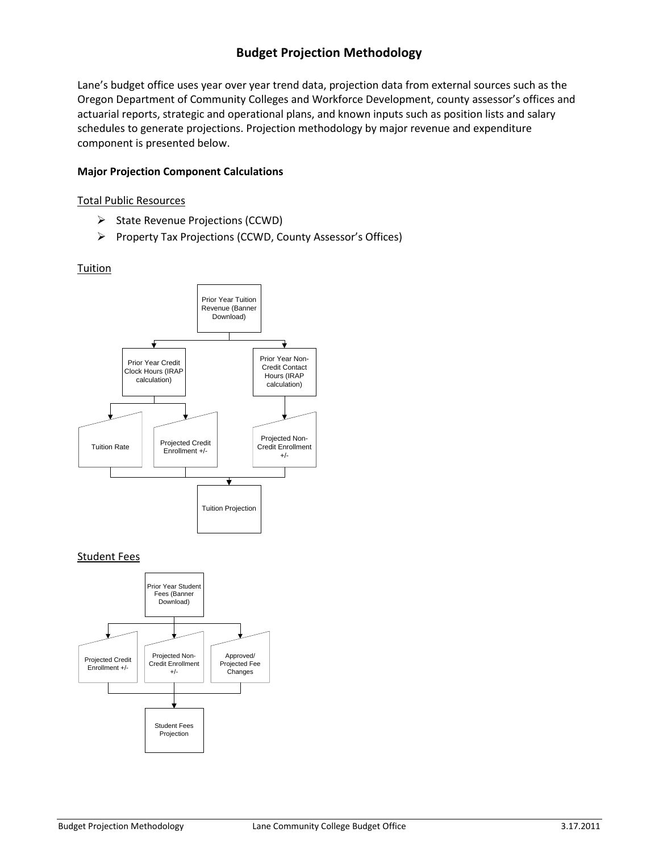# **Budget Projection Methodology**

Lane's budget office uses year over year trend data, projection data from external sources such as the Oregon Department of Community Colleges and Workforce Development, county assessor's offices and actuarial reports, strategic and operational plans, and known inputs such as position lists and salary schedules to generate projections. Projection methodology by major revenue and expenditure component is presented below.

### **Major Projection Component Calculations**

#### Total Public Resources

- $\triangleright$  State Revenue Projections (CCWD)
- Property Tax Projections (CCWD, County Assessor's Offices)

#### Tuition

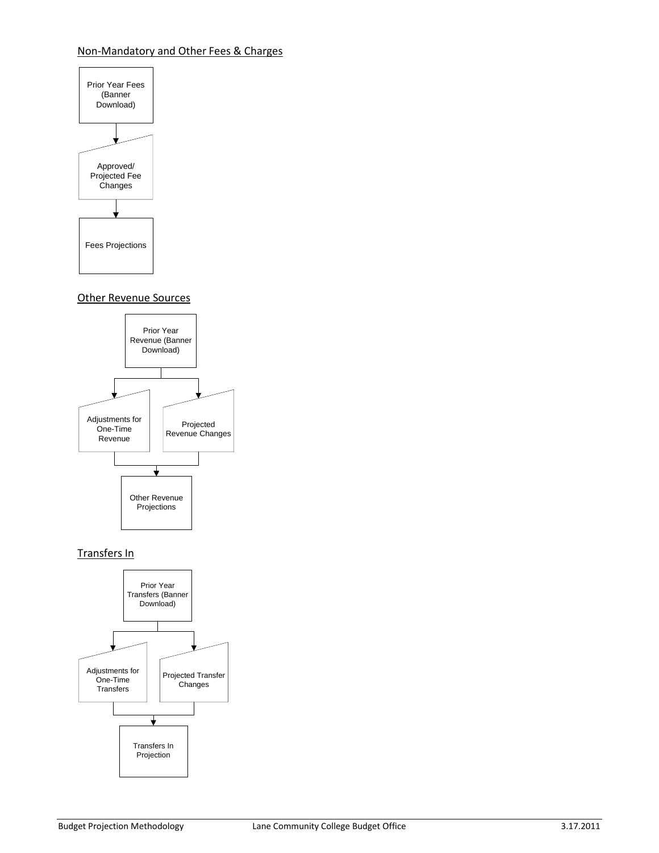# Non-Mandatory and Other Fees & Charges



### Other Revenue Sources



# Transfers In

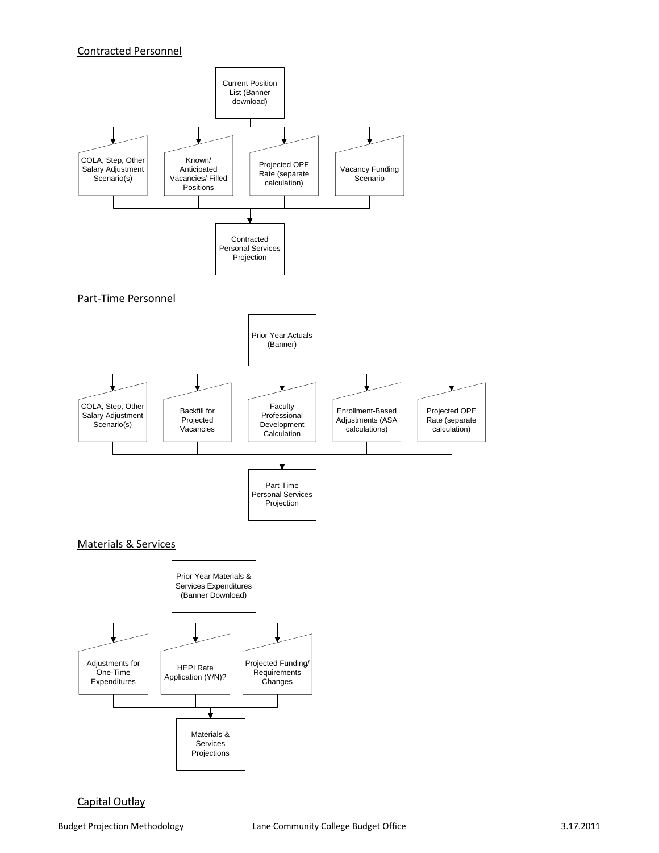### Contracted Personnel



#### Capital Outlay

Materials & Services Projections